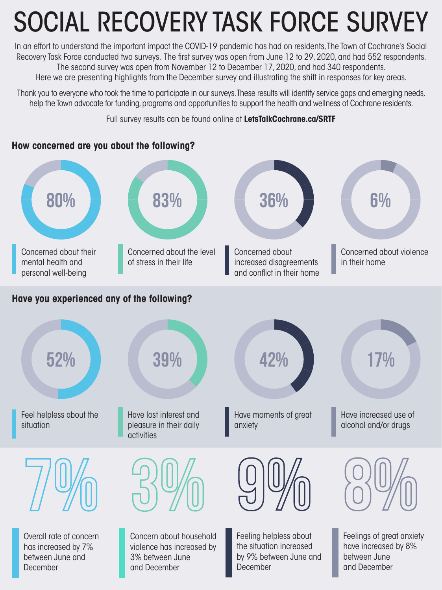## SOCIAL RECOVERY TASK FORCE SURVEY

In an effort to understand the important impact the COVID-19 pandemic has had on residents, The Town of Cochrane's Social Recovery Task Force conducted two surveys. The first survey was open from June 12 to 29, 2020, and had 552 respondents. The second survey was open from November 12 to December 17, 2020, and had 340 respondents. Here we are presenting highlights from the December survey and illustrating the shift in responses for key areas.

Thank you to everyone who took the time to participate in our surveys. These results will identify service gaps and emerging needs, help the Town advocate for funding, programs and opportunities to support the health and wellness of Cochrane residents.

Full survey results can be found online at **LetsTalkCochrane.ca/SRTF**

## **How concerned are you about the following?**

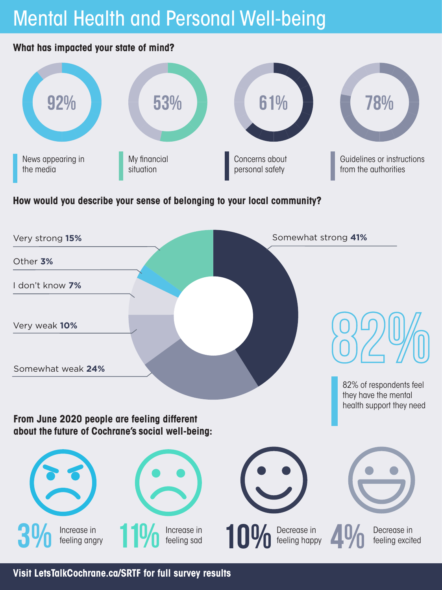## Mental Health and Personal Well-being

#### **What has impacted your state of mind?**



## **How would you describe your sense of belonging to your local community?**



**Visit LetsTalkCochrane.ca/SRTF for full survey results**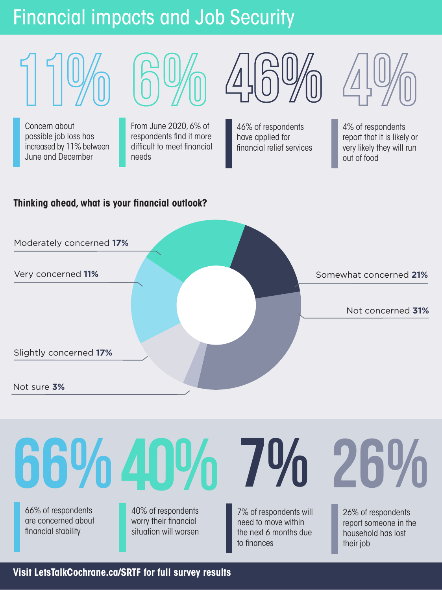## Financial impacts and Job Security



Concern about possible job loss has increased by 11% between June and December

From June 2020, 6% of respondents find it more difficult to meet financial needs

**6 %**

**46%**

46% of respondents have applied for financial relief services



4% of respondents report that it is likely or very likely they will run out of food

## **Thinking ahead, what is your financial outlook?**





**Visit LetsTalkCochrane.ca/SRTF for full survey results**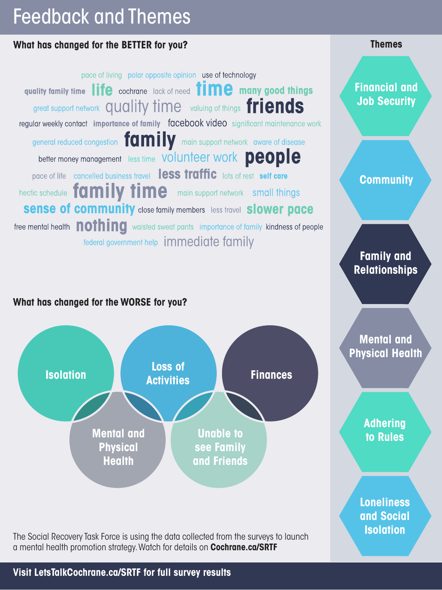## Feedback and Themes

## **What has changed for the BETTER for you?**

pace of living polar opposite opinion use of technology quality family time life cochrane lack of need **time** many good things great support network QUAlity time valuing of things friends regular weekly contact importance of family facebook video significant maintenance work general reduced congestion **formily** main support network aware of disease better money management less time VOIUNTeer WOrk Deople pace of life cancelled business travel **less traffic** lots of rest self care hectic schedule family time main support network small things **Sense of community** close family members less travel **Slower pace** free mental health **nothing** waisted sweat pants importance of family kindness of people federal government help immediate family

## **What has changed for the WORSE for you?**



**ISOLATION** The Social Recovery Task Force is using the data collected from the surveys to launch a mental health promotion strategy. Watch for details on **Cochrane.ca/SRTF**

**Themes**

**Financial and Job Security**

**Community**

**Family and Relationships**

**Mental and Physical Health**

> **Adhering to Rules**

**Loneliness and Social** 

**Visit LetsTalkCochrane.ca/SRTF for full survey results**